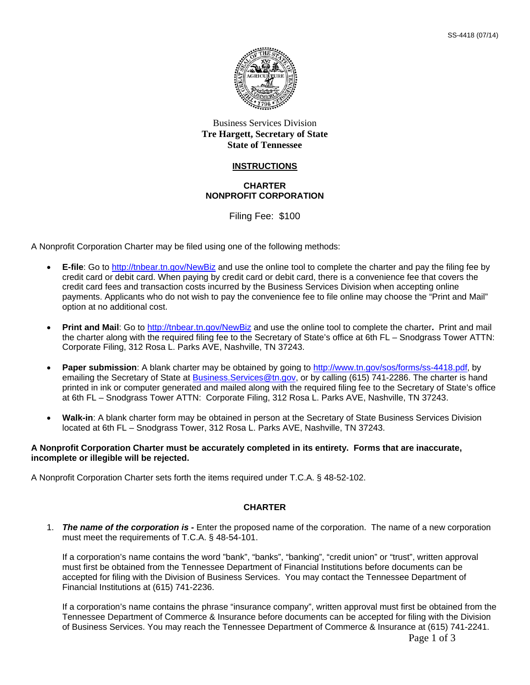

## Business Services Division **Tre Hargett, Secretary of State State of Tennessee**

### **INSTRUCTIONS**

#### **CHARTER NONPROFIT CORPORATION**

Filing Fee: \$100

A Nonprofit Corporation Charter may be filed using one of the following methods:

- **E-file**: Go to http://tnbear.tn.gov/NewBiz and use the online tool to complete the charter and pay the filing fee by credit card or debit card. When paying by credit card or debit card, there is a convenience fee that covers the credit card fees and transaction costs incurred by the Business Services Division when accepting online payments. Applicants who do not wish to pay the convenience fee to file online may choose the "Print and Mail" option at no additional cost.
- **Print and Mail**: Go to http://tnbear.tn.gov/NewBiz and use the online tool to complete the charter**.** Print and mail the charter along with the required filing fee to the Secretary of State's office at 6th FL – Snodgrass Tower ATTN: Corporate Filing, 312 Rosa L. Parks AVE, Nashville, TN 37243.
- **Paper submission**: A blank charter may be obtained by going to http://www.tn.gov/sos/forms/ss-4418.pdf, by emailing the Secretary of State at Business. Services @tn.gov, or by calling (615) 741-2286. The charter is hand printed in ink or computer generated and mailed along with the required filing fee to the Secretary of State's office at 6th FL – Snodgrass Tower ATTN: Corporate Filing, 312 Rosa L. Parks AVE, Nashville, TN 37243.
- **Walk-in**: A blank charter form may be obtained in person at the Secretary of State Business Services Division located at 6th FL – Snodgrass Tower, 312 Rosa L. Parks AVE, Nashville, TN 37243.

#### **A Nonprofit Corporation Charter must be accurately completed in its entirety. Forms that are inaccurate, incomplete or illegible will be rejected.**

A Nonprofit Corporation Charter sets forth the items required under T.C.A. § 48-52-102.

## **CHARTER**

1. *The name of the corporation is -* Enter the proposed name of the corporation. The name of a new corporation must meet the requirements of T.C.A. § 48-54-101.

If a corporation's name contains the word "bank", "banks", "banking", "credit union" or "trust", written approval must first be obtained from the Tennessee Department of Financial Institutions before documents can be accepted for filing with the Division of Business Services. You may contact the Tennessee Department of Financial Institutions at (615) 741-2236.

If a corporation's name contains the phrase "insurance company", written approval must first be obtained from the Tennessee Department of Commerce & Insurance before documents can be accepted for filing with the Division of Business Services. You may reach the Tennessee Department of Commerce & Insurance at (615) 741-2241.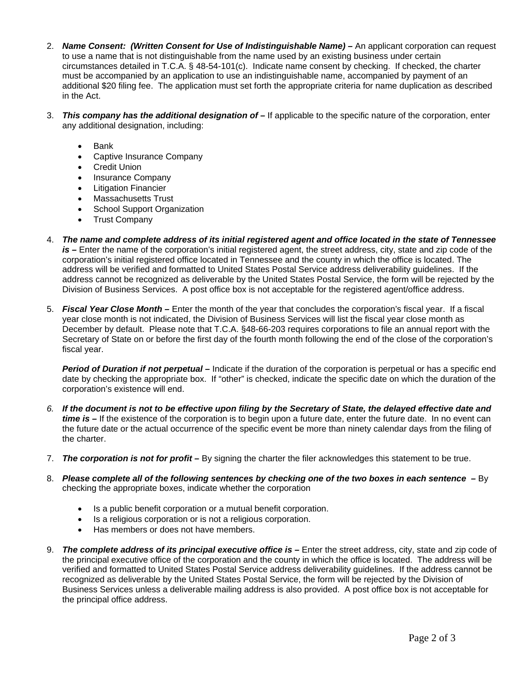- 2. *Name Consent: (Written Consent for Use of Indistinguishable Name) –* An applicant corporation can request to use a name that is not distinguishable from the name used by an existing business under certain circumstances detailed in T.C.A. § 48-54-101(c). Indicate name consent by checking. If checked, the charter must be accompanied by an application to use an indistinguishable name, accompanied by payment of an additional \$20 filing fee. The application must set forth the appropriate criteria for name duplication as described in the Act.
- 3. *This company has the additional designation of –* If applicable to the specific nature of the corporation, enter any additional designation, including:
	- Bank
	- Captive Insurance Company
	- **•** Credit Union
	- Insurance Company
	- Litigation Financier
	- Massachusetts Trust
	- School Support Organization
	- Trust Company
- 4. *The name and complete address of its initial registered agent and office located in the state of Tennessee is –* Enter the name of the corporation's initial registered agent, the street address, city, state and zip code of the corporation's initial registered office located in Tennessee and the county in which the office is located. The address will be verified and formatted to United States Postal Service address deliverability guidelines. If the address cannot be recognized as deliverable by the United States Postal Service, the form will be rejected by the Division of Business Services. A post office box is not acceptable for the registered agent/office address.
- 5. *Fiscal Year Close Month –* Enter the month of the year that concludes the corporation's fiscal year. If a fiscal year close month is not indicated, the Division of Business Services will list the fiscal year close month as December by default. Please note that T.C.A. §48-66-203 requires corporations to file an annual report with the Secretary of State on or before the first day of the fourth month following the end of the close of the corporation's fiscal year.

*Period of Duration if not perpetual –* Indicate if the duration of the corporation is perpetual or has a specific end date by checking the appropriate box. If "other" is checked, indicate the specific date on which the duration of the corporation's existence will end.

- *6. If the document is not to be effective upon filing by the Secretary of State, the delayed effective date and time is –* If the existence of the corporation is to begin upon a future date, enter the future date. In no event can the future date or the actual occurrence of the specific event be more than ninety calendar days from the filing of the charter.
- 7. *The corporation is not for profit –* By signing the charter the filer acknowledges this statement to be true.
- 8. Please complete all of the following sentences by checking one of the two boxes in each sentence By checking the appropriate boxes, indicate whether the corporation
	- Is a public benefit corporation or a mutual benefit corporation.
	- Is a religious corporation or is not a religious corporation.
	- Has members or does not have members.
- 9. *The complete address of its principal executive office is –* Enter the street address, city, state and zip code of the principal executive office of the corporation and the county in which the office is located. The address will be verified and formatted to United States Postal Service address deliverability guidelines. If the address cannot be recognized as deliverable by the United States Postal Service, the form will be rejected by the Division of Business Services unless a deliverable mailing address is also provided. A post office box is not acceptable for the principal office address.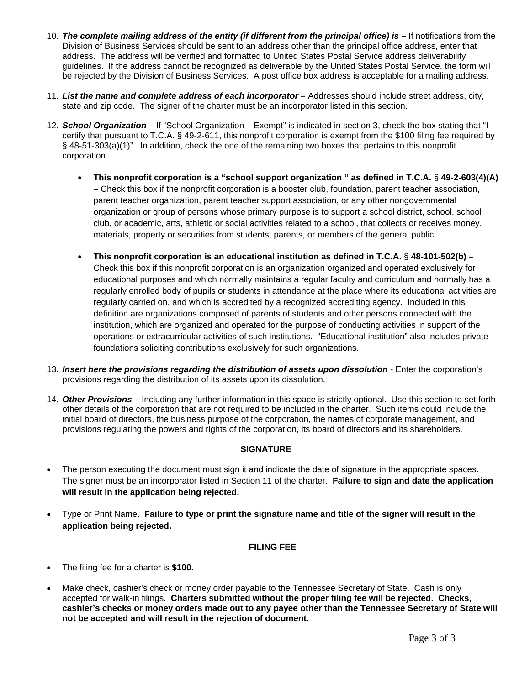- 10. *The complete mailing address of the entity (if different from the principal office) is –* If notifications from the Division of Business Services should be sent to an address other than the principal office address, enter that address. The address will be verified and formatted to United States Postal Service address deliverability guidelines. If the address cannot be recognized as deliverable by the United States Postal Service, the form will be rejected by the Division of Business Services. A post office box address is acceptable for a mailing address.
- 11. *List the name and complete address of each incorporator –* Addresses should include street address, city, state and zip code. The signer of the charter must be an incorporator listed in this section.
- 12. *School Organization* **–** If "School Organization Exempt" is indicated in section 3, check the box stating that "I certify that pursuant to T.C.A. § 49-2-611, this nonprofit corporation is exempt from the \$100 filing fee required by § 48-51-303(a)(1)". In addition, check the one of the remaining two boxes that pertains to this nonprofit corporation.
	- **This nonprofit corporation is a "school support organization " as defined in T.C.A.** § **49-2-603(4)(A) –** Check this box if the nonprofit corporation is a booster club, foundation, parent teacher association, parent teacher organization, parent teacher support association, or any other nongovernmental organization or group of persons whose primary purpose is to support a school district, school, school club, or academic, arts, athletic or social activities related to a school, that collects or receives money, materials, property or securities from students, parents, or members of the general public.
	- **This nonprofit corporation is an educational institution as defined in T.C.A.** § **48-101-502(b) –** Check this box if this nonprofit corporation is an organization organized and operated exclusively for educational purposes and which normally maintains a regular faculty and curriculum and normally has a regularly enrolled body of pupils or students in attendance at the place where its educational activities are regularly carried on, and which is accredited by a recognized accrediting agency. Included in this definition are organizations composed of parents of students and other persons connected with the institution, which are organized and operated for the purpose of conducting activities in support of the operations or extracurricular activities of such institutions. "Educational institution" also includes private foundations soliciting contributions exclusively for such organizations.
- 13. *Insert here the provisions regarding the distribution of assets upon dissolution* Enter the corporation's provisions regarding the distribution of its assets upon its dissolution.
- 14. *Other Provisions –* Including any further information in this space is strictly optional. Use this section to set forth other details of the corporation that are not required to be included in the charter. Such items could include the initial board of directors, the business purpose of the corporation, the names of corporate management, and provisions regulating the powers and rights of the corporation, its board of directors and its shareholders.

# **SIGNATURE**

- The person executing the document must sign it and indicate the date of signature in the appropriate spaces. The signer must be an incorporator listed in Section 11 of the charter. **Failure to sign and date the application will result in the application being rejected.**
- Type or Print Name. **Failure to type or print the signature name and title of the signer will result in the application being rejected.**

## **FILING FEE**

- The filing fee for a charter is **\$100.**
- Make check, cashier's check or money order payable to the Tennessee Secretary of State. Cash is only accepted for walk-in filings. **Charters submitted without the proper filing fee will be rejected. Checks, cashier's checks or money orders made out to any payee other than the Tennessee Secretary of State will not be accepted and will result in the rejection of document.**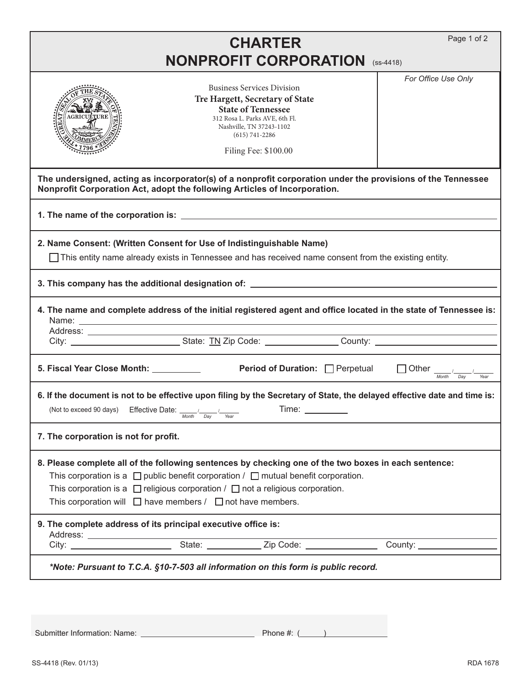|                                                                                                                                                                                                                                                                                                                                                                          |                      | <b>CHARTER</b>                                                                                                                                                                                                |  | Page 1 of 2                                                                                                              |  |
|--------------------------------------------------------------------------------------------------------------------------------------------------------------------------------------------------------------------------------------------------------------------------------------------------------------------------------------------------------------------------|----------------------|---------------------------------------------------------------------------------------------------------------------------------------------------------------------------------------------------------------|--|--------------------------------------------------------------------------------------------------------------------------|--|
| <b>NONPROFIT CORPORATION (SS-4418)</b>                                                                                                                                                                                                                                                                                                                                   |                      |                                                                                                                                                                                                               |  |                                                                                                                          |  |
|                                                                                                                                                                                                                                                                                                                                                                          |                      | <b>Business Services Division</b><br>Tre Hargett, Secretary of State<br><b>State of Tennessee</b><br>312 Rosa L. Parks AVE, 6th Fl.<br>Nashville, TN 37243-1102<br>$(615) 741 - 2286$<br>Filing Fee: \$100.00 |  | For Office Use Only                                                                                                      |  |
| The undersigned, acting as incorporator(s) of a nonprofit corporation under the provisions of the Tennessee<br>Nonprofit Corporation Act, adopt the following Articles of Incorporation.                                                                                                                                                                                 |                      |                                                                                                                                                                                                               |  |                                                                                                                          |  |
|                                                                                                                                                                                                                                                                                                                                                                          |                      |                                                                                                                                                                                                               |  |                                                                                                                          |  |
| 2. Name Consent: (Written Consent for Use of Indistinguishable Name)<br>$\Box$ This entity name already exists in Tennessee and has received name consent from the existing entity.                                                                                                                                                                                      |                      |                                                                                                                                                                                                               |  |                                                                                                                          |  |
| 3. This company has the additional designation of: Network Community Community Community Community Community C                                                                                                                                                                                                                                                           |                      |                                                                                                                                                                                                               |  |                                                                                                                          |  |
|                                                                                                                                                                                                                                                                                                                                                                          |                      |                                                                                                                                                                                                               |  | 4. The name and complete address of the initial registered agent and office located in the state of Tennessee is:        |  |
| 5. Fiscal Year Close Month: ___________                                                                                                                                                                                                                                                                                                                                  |                      | Period of Duration: Perpetual                                                                                                                                                                                 |  | Other $\frac{1}{\sqrt{m}}$<br>Year                                                                                       |  |
| (Not to exceed 90 days) Effective Date: $\sqrt{2}$                                                                                                                                                                                                                                                                                                                       | Month<br>Day<br>Year | Time:                                                                                                                                                                                                         |  | 6. If the document is not to be effective upon filing by the Secretary of State, the delayed effective date and time is: |  |
| 7. The corporation is not for profit.                                                                                                                                                                                                                                                                                                                                    |                      |                                                                                                                                                                                                               |  |                                                                                                                          |  |
| 8. Please complete all of the following sentences by checking one of the two boxes in each sentence:<br>This corporation is a $\Box$ public benefit corporation / $\Box$ mutual benefit corporation.<br>This corporation is a $\Box$ religious corporation / $\Box$ not a religious corporation.<br>This corporation will $\Box$ have members / $\Box$ not have members. |                      |                                                                                                                                                                                                               |  |                                                                                                                          |  |
| 9. The complete address of its principal executive office is:                                                                                                                                                                                                                                                                                                            |                      |                                                                                                                                                                                                               |  |                                                                                                                          |  |
|                                                                                                                                                                                                                                                                                                                                                                          |                      |                                                                                                                                                                                                               |  |                                                                                                                          |  |
| *Note: Pursuant to T.C.A. §10-7-503 all information on this form is public record.                                                                                                                                                                                                                                                                                       |                      |                                                                                                                                                                                                               |  |                                                                                                                          |  |
|                                                                                                                                                                                                                                                                                                                                                                          |                      |                                                                                                                                                                                                               |  |                                                                                                                          |  |

Submitter Information: Name: Phone #: ( )